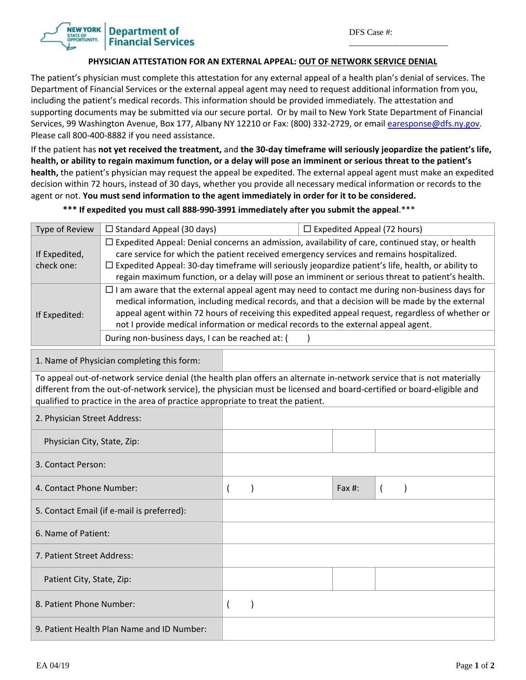\_\_\_\_\_\_\_\_\_\_\_\_\_\_\_\_\_\_\_\_\_\_\_

## **Department of Financial Services**

## **PHYSICIAN ATTESTATION FOR AN EXTERNAL APPEAL: OUT OF NETWORK SERVICE DENIAL**

The patient's physician must complete this attestation for any external appeal of a health plan's denial of services. The Department of Financial Services or the external appeal agent may need to request additional information from you, including the patient's medical records. This information should be provided immediately. The attestation and supporting documents may be submitted via our secure portal. Or by mail to New York State Department of Financial Services, 99 Washington Avenue, Box 177, Albany NY 12210 or Fax: (800) 332-2729, or email earesponse@dfs.ny.gov. Please call 800‐400‐8882 if you need assistance.

If the patient has not yet received the treatment, and the 30-day timeframe will seriously jeopardize the patient's life, health, or ability to regain maximum function, or a delay will pose an imminent or serious threat to the patient's **health,** the patient's physician may request the appeal be expedited. The external appeal agent must make an expedited decision within 72 hours, instead of 30 days, whether you provide all necessary medical information or records to the agent or not. **You must send information to the agent immediately in order for it to be considered.** 

\*\*\* If expedited you must call 888-990-3991 immediately after you submit the appeal.\*\*\*

| Type of Review                                                                                                                                                                                                                                                                                                                    | $\Box$ Standard Appeal (30 days)                                                                                                                                                                                                                                                                                                                                                                                                                        |                |               | $\Box$ Expedited Appeal (72 hours) |           |                |  |  |
|-----------------------------------------------------------------------------------------------------------------------------------------------------------------------------------------------------------------------------------------------------------------------------------------------------------------------------------|---------------------------------------------------------------------------------------------------------------------------------------------------------------------------------------------------------------------------------------------------------------------------------------------------------------------------------------------------------------------------------------------------------------------------------------------------------|----------------|---------------|------------------------------------|-----------|----------------|--|--|
| If Expedited,<br>check one:                                                                                                                                                                                                                                                                                                       | $\Box$ Expedited Appeal: Denial concerns an admission, availability of care, continued stay, or health<br>care service for which the patient received emergency services and remains hospitalized.<br>□ Expedited Appeal: 30-day timeframe will seriously jeopardize patient's life, health, or ability to<br>regain maximum function, or a delay will pose an imminent or serious threat to patient's health.                                          |                |               |                                    |           |                |  |  |
| If Expedited:                                                                                                                                                                                                                                                                                                                     | $\Box$ I am aware that the external appeal agent may need to contact me during non-business days for<br>medical information, including medical records, and that a decision will be made by the external<br>appeal agent within 72 hours of receiving this expedited appeal request, regardless of whether or<br>not I provide medical information or medical records to the external appeal agent.<br>During non-business days, I can be reached at: ( |                |               |                                    |           |                |  |  |
| 1. Name of Physician completing this form:                                                                                                                                                                                                                                                                                        |                                                                                                                                                                                                                                                                                                                                                                                                                                                         |                |               |                                    |           |                |  |  |
| To appeal out-of-network service denial (the health plan offers an alternate in-network service that is not materially<br>different from the out-of-network service), the physician must be licensed and board-certified or board-eligible and<br>qualified to practice in the area of practice appropriate to treat the patient. |                                                                                                                                                                                                                                                                                                                                                                                                                                                         |                |               |                                    |           |                |  |  |
| 2. Physician Street Address:                                                                                                                                                                                                                                                                                                      |                                                                                                                                                                                                                                                                                                                                                                                                                                                         |                |               |                                    |           |                |  |  |
| Physician City, State, Zip:                                                                                                                                                                                                                                                                                                       |                                                                                                                                                                                                                                                                                                                                                                                                                                                         |                |               |                                    |           |                |  |  |
| 3. Contact Person:                                                                                                                                                                                                                                                                                                                |                                                                                                                                                                                                                                                                                                                                                                                                                                                         |                |               |                                    |           |                |  |  |
| 4. Contact Phone Number:                                                                                                                                                                                                                                                                                                          |                                                                                                                                                                                                                                                                                                                                                                                                                                                         | $\overline{ }$ | $\mathcal{E}$ |                                    | Fax $#$ : | $\overline{(}$ |  |  |
| 5. Contact Email (if e-mail is preferred):                                                                                                                                                                                                                                                                                        |                                                                                                                                                                                                                                                                                                                                                                                                                                                         |                |               |                                    |           |                |  |  |
| 6. Name of Patient:                                                                                                                                                                                                                                                                                                               |                                                                                                                                                                                                                                                                                                                                                                                                                                                         |                |               |                                    |           |                |  |  |
| 7. Patient Street Address:                                                                                                                                                                                                                                                                                                        |                                                                                                                                                                                                                                                                                                                                                                                                                                                         |                |               |                                    |           |                |  |  |
| Patient City, State, Zip:                                                                                                                                                                                                                                                                                                         |                                                                                                                                                                                                                                                                                                                                                                                                                                                         |                |               |                                    |           |                |  |  |
| 8. Patient Phone Number:                                                                                                                                                                                                                                                                                                          |                                                                                                                                                                                                                                                                                                                                                                                                                                                         | $\overline{(}$ | $\mathcal{E}$ |                                    |           |                |  |  |
| 9. Patient Health Plan Name and ID Number:                                                                                                                                                                                                                                                                                        |                                                                                                                                                                                                                                                                                                                                                                                                                                                         |                |               |                                    |           |                |  |  |